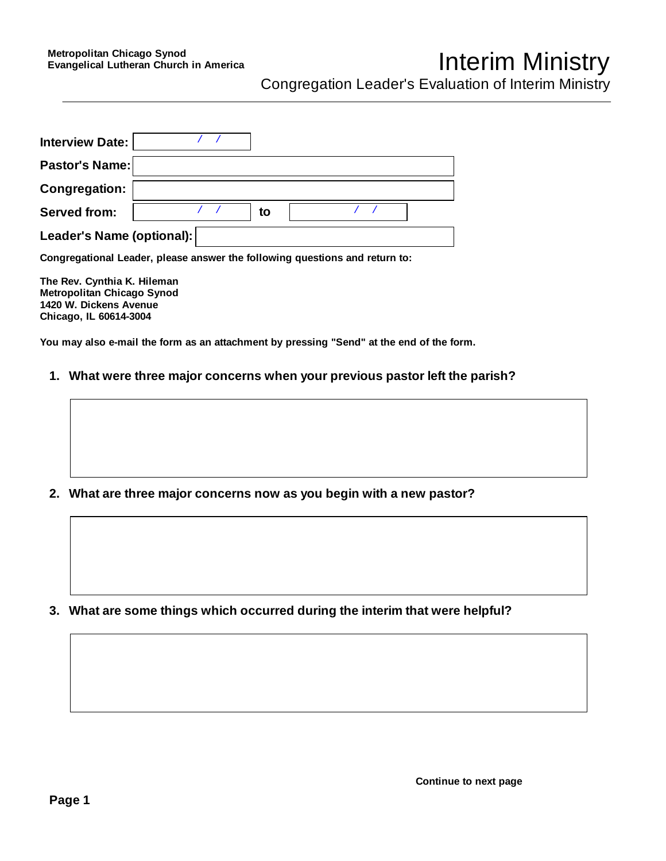## Interim Ministry

Congregation Leader's Evaluation of Interim Ministry

| <b>Interview Date:</b>    |  |    |  |  |
|---------------------------|--|----|--|--|
| Pastor's Name:            |  |    |  |  |
| <b>Congregation:</b>      |  |    |  |  |
| <b>Served from:</b>       |  | to |  |  |
| Leader's Name (optional): |  |    |  |  |

**Congregational Leader, please answer the following questions and return to:** 

**The Rev. Cynthia K. Hileman Metropolitan Chicago Synod 1420 W. Dickens Avenue Chicago, IL 60614-3004**

**You may also e-mail the form as an attachment by pressing "Send" at the end of the form.**

- **1. What were three major concerns when your previous pastor left the parish?**
- 
- **2. What are three major concerns now as you begin with a new pastor?**

 **3. What are some things which occurred during the interim that were helpful?**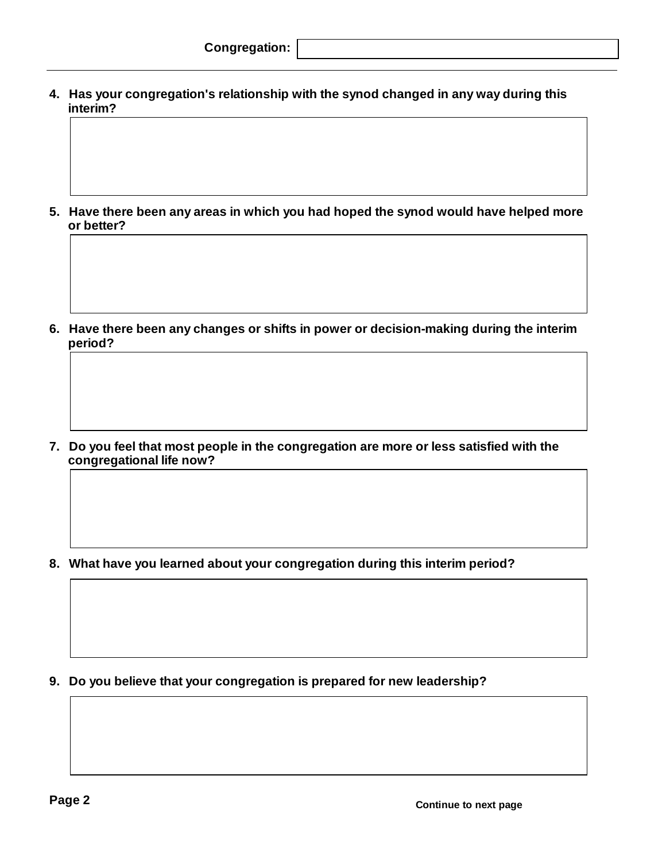**4. Has your congregation's relationship with the synod changed in any way during this interim?**

 **5. Have there been any areas in which you had hoped the synod would have helped more or better?**

 **6. Have there been any changes or shifts in power or decision-making during the interim period?**

 **7. Do you feel that most people in the congregation are more or less satisfied with the congregational life now?**

 **8. What have you learned about your congregation during this interim period?**

 **9. Do you believe that your congregation is prepared for new leadership?**